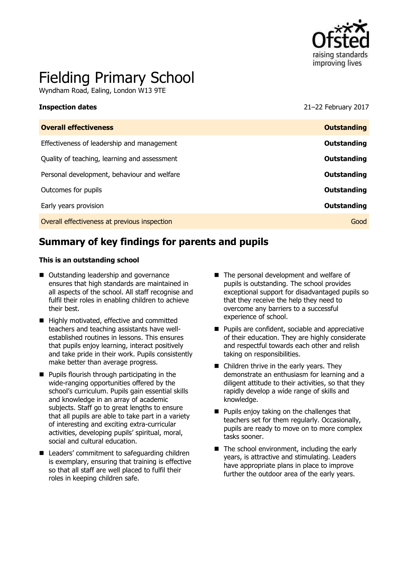

# Fielding Primary School

Wyndham Road, Ealing, London W13 9TE

**Inspection dates** 21–22 February 2017

| <b>Overall effectiveness</b>                 | <b>Outstanding</b> |
|----------------------------------------------|--------------------|
| Effectiveness of leadership and management   | Outstanding        |
| Quality of teaching, learning and assessment | Outstanding        |
| Personal development, behaviour and welfare  | Outstanding        |
| Outcomes for pupils                          | Outstanding        |
| Early years provision                        | Outstanding        |
| Overall effectiveness at previous inspection | Good               |
|                                              |                    |

# **Summary of key findings for parents and pupils**

#### **This is an outstanding school**

- Outstanding leadership and governance ensures that high standards are maintained in all aspects of the school. All staff recognise and fulfil their roles in enabling children to achieve their best.
- Highly motivated, effective and committed teachers and teaching assistants have wellestablished routines in lessons. This ensures that pupils enjoy learning, interact positively and take pride in their work. Pupils consistently make better than average progress.
- **Pupils flourish through participating in the** wide-ranging opportunities offered by the school's curriculum. Pupils gain essential skills and knowledge in an array of academic subjects. Staff go to great lengths to ensure that all pupils are able to take part in a variety of interesting and exciting extra-curricular activities, developing pupils' spiritual, moral, social and cultural education.
- Leaders' commitment to safeguarding children is exemplary, ensuring that training is effective so that all staff are well placed to fulfil their roles in keeping children safe.
- The personal development and welfare of pupils is outstanding. The school provides exceptional support for disadvantaged pupils so that they receive the help they need to overcome any barriers to a successful experience of school.
- **Pupils are confident, sociable and appreciative** of their education. They are highly considerate and respectful towards each other and relish taking on responsibilities.
- Children thrive in the early years. They demonstrate an enthusiasm for learning and a diligent attitude to their activities, so that they rapidly develop a wide range of skills and knowledge.
- **Pupils enjoy taking on the challenges that** teachers set for them regularly. Occasionally, pupils are ready to move on to more complex tasks sooner.
- $\blacksquare$  The school environment, including the early years, is attractive and stimulating. Leaders have appropriate plans in place to improve further the outdoor area of the early years.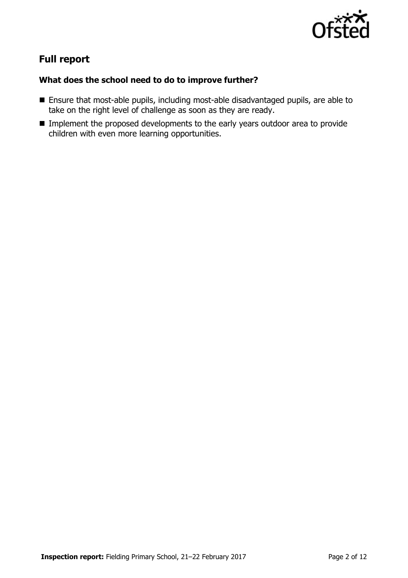

# **Full report**

### **What does the school need to do to improve further?**

- Ensure that most-able pupils, including most-able disadvantaged pupils, are able to take on the right level of challenge as soon as they are ready.
- **IMPLEMENTER Implement the proposed developments to the early years outdoor area to provide** children with even more learning opportunities.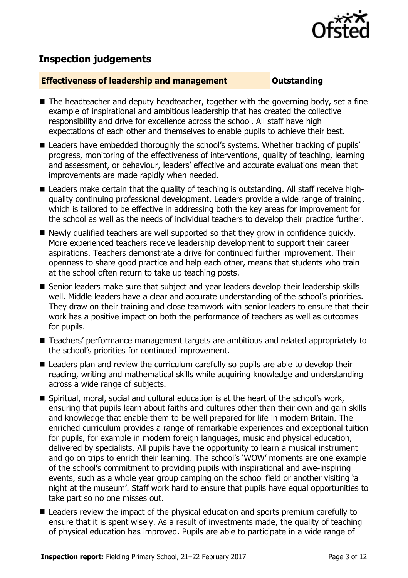

# **Inspection judgements**

#### **Effectiveness of leadership and management Constanding**

- The headteacher and deputy headteacher, together with the governing body, set a fine example of inspirational and ambitious leadership that has created the collective responsibility and drive for excellence across the school. All staff have high expectations of each other and themselves to enable pupils to achieve their best.
- Leaders have embedded thoroughly the school's systems. Whether tracking of pupils' progress, monitoring of the effectiveness of interventions, quality of teaching, learning and assessment, or behaviour, leaders' effective and accurate evaluations mean that improvements are made rapidly when needed.
- Leaders make certain that the quality of teaching is outstanding. All staff receive highquality continuing professional development. Leaders provide a wide range of training, which is tailored to be effective in addressing both the key areas for improvement for the school as well as the needs of individual teachers to develop their practice further.
- Newly qualified teachers are well supported so that they grow in confidence quickly. More experienced teachers receive leadership development to support their career aspirations. Teachers demonstrate a drive for continued further improvement. Their openness to share good practice and help each other, means that students who train at the school often return to take up teaching posts.
- Senior leaders make sure that subject and year leaders develop their leadership skills well. Middle leaders have a clear and accurate understanding of the school's priorities. They draw on their training and close teamwork with senior leaders to ensure that their work has a positive impact on both the performance of teachers as well as outcomes for pupils.
- Teachers' performance management targets are ambitious and related appropriately to the school's priorities for continued improvement.
- Leaders plan and review the curriculum carefully so pupils are able to develop their reading, writing and mathematical skills while acquiring knowledge and understanding across a wide range of subjects.
- Spiritual, moral, social and cultural education is at the heart of the school's work, ensuring that pupils learn about faiths and cultures other than their own and gain skills and knowledge that enable them to be well prepared for life in modern Britain. The enriched curriculum provides a range of remarkable experiences and exceptional tuition for pupils, for example in modern foreign languages, music and physical education, delivered by specialists. All pupils have the opportunity to learn a musical instrument and go on trips to enrich their learning. The school's 'WOW' moments are one example of the school's commitment to providing pupils with inspirational and awe-inspiring events, such as a whole year group camping on the school field or another visiting 'a night at the museum'. Staff work hard to ensure that pupils have equal opportunities to take part so no one misses out.
- Leaders review the impact of the physical education and sports premium carefully to ensure that it is spent wisely. As a result of investments made, the quality of teaching of physical education has improved. Pupils are able to participate in a wide range of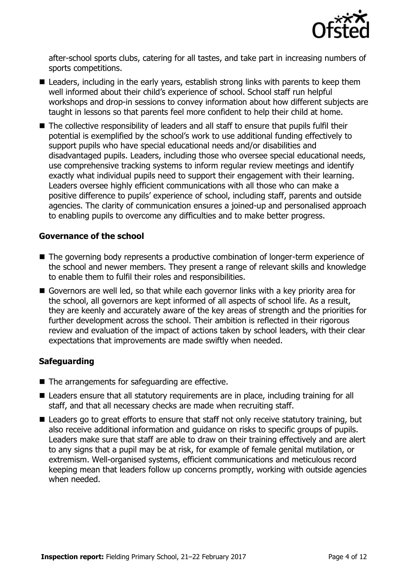

after-school sports clubs, catering for all tastes, and take part in increasing numbers of sports competitions.

- Leaders, including in the early years, establish strong links with parents to keep them well informed about their child's experience of school. School staff run helpful workshops and drop-in sessions to convey information about how different subjects are taught in lessons so that parents feel more confident to help their child at home.
- The collective responsibility of leaders and all staff to ensure that pupils fulfil their potential is exemplified by the school's work to use additional funding effectively to support pupils who have special educational needs and/or disabilities and disadvantaged pupils. Leaders, including those who oversee special educational needs, use comprehensive tracking systems to inform regular review meetings and identify exactly what individual pupils need to support their engagement with their learning. Leaders oversee highly efficient communications with all those who can make a positive difference to pupils' experience of school, including staff, parents and outside agencies. The clarity of communication ensures a joined-up and personalised approach to enabling pupils to overcome any difficulties and to make better progress.

#### **Governance of the school**

- The governing body represents a productive combination of longer-term experience of the school and newer members. They present a range of relevant skills and knowledge to enable them to fulfil their roles and responsibilities.
- Governors are well led, so that while each governor links with a key priority area for the school, all governors are kept informed of all aspects of school life. As a result, they are keenly and accurately aware of the key areas of strength and the priorities for further development across the school. Their ambition is reflected in their rigorous review and evaluation of the impact of actions taken by school leaders, with their clear expectations that improvements are made swiftly when needed.

### **Safeguarding**

- The arrangements for safeguarding are effective.
- Leaders ensure that all statutory requirements are in place, including training for all staff, and that all necessary checks are made when recruiting staff.
- Leaders go to great efforts to ensure that staff not only receive statutory training, but also receive additional information and guidance on risks to specific groups of pupils. Leaders make sure that staff are able to draw on their training effectively and are alert to any signs that a pupil may be at risk, for example of female genital mutilation, or extremism. Well-organised systems, efficient communications and meticulous record keeping mean that leaders follow up concerns promptly, working with outside agencies when needed.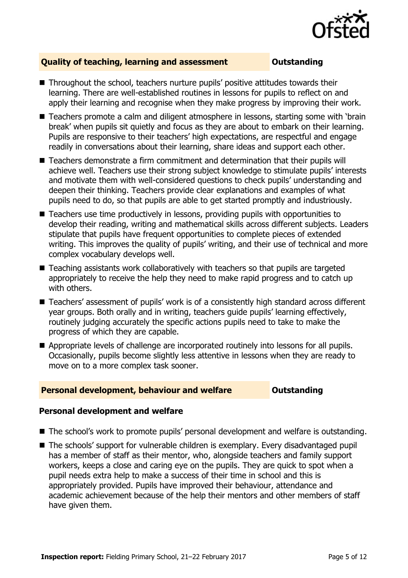

### **Quality of teaching, learning and assessment Outstanding**

- Throughout the school, teachers nurture pupils' positive attitudes towards their learning. There are well-established routines in lessons for pupils to reflect on and apply their learning and recognise when they make progress by improving their work.
- Teachers promote a calm and diligent atmosphere in lessons, starting some with 'brain break' when pupils sit quietly and focus as they are about to embark on their learning. Pupils are responsive to their teachers' high expectations, are respectful and engage readily in conversations about their learning, share ideas and support each other.
- Teachers demonstrate a firm commitment and determination that their pupils will achieve well. Teachers use their strong subject knowledge to stimulate pupils' interests and motivate them with well-considered questions to check pupils' understanding and deepen their thinking. Teachers provide clear explanations and examples of what pupils need to do, so that pupils are able to get started promptly and industriously.
- Teachers use time productively in lessons, providing pupils with opportunities to develop their reading, writing and mathematical skills across different subjects. Leaders stipulate that pupils have frequent opportunities to complete pieces of extended writing. This improves the quality of pupils' writing, and their use of technical and more complex vocabulary develops well.
- Teaching assistants work collaboratively with teachers so that pupils are targeted appropriately to receive the help they need to make rapid progress and to catch up with others.
- Teachers' assessment of pupils' work is of a consistently high standard across different year groups. Both orally and in writing, teachers guide pupils' learning effectively, routinely judging accurately the specific actions pupils need to take to make the progress of which they are capable.
- Appropriate levels of challenge are incorporated routinely into lessons for all pupils. Occasionally, pupils become slightly less attentive in lessons when they are ready to move on to a more complex task sooner.

### **Personal development, behaviour and welfare <b>COUTS** Outstanding

#### **Personal development and welfare**

- The school's work to promote pupils' personal development and welfare is outstanding.
- The schools' support for vulnerable children is exemplary. Every disadvantaged pupil has a member of staff as their mentor, who, alongside teachers and family support workers, keeps a close and caring eye on the pupils. They are quick to spot when a pupil needs extra help to make a success of their time in school and this is appropriately provided. Pupils have improved their behaviour, attendance and academic achievement because of the help their mentors and other members of staff have given them.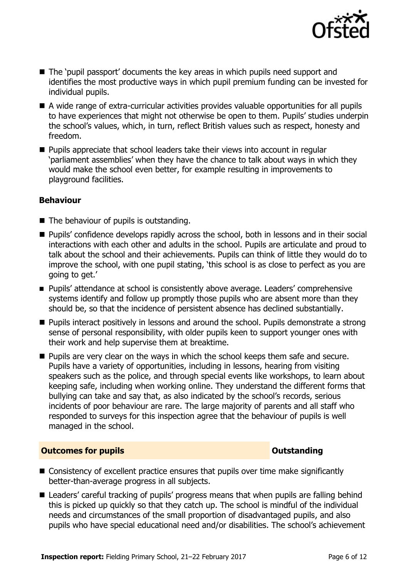

- The 'pupil passport' documents the key areas in which pupils need support and identifies the most productive ways in which pupil premium funding can be invested for individual pupils.
- A wide range of extra-curricular activities provides valuable opportunities for all pupils to have experiences that might not otherwise be open to them. Pupils' studies underpin the school's values, which, in turn, reflect British values such as respect, honesty and freedom.
- **Pupils appreciate that school leaders take their views into account in regular** 'parliament assemblies' when they have the chance to talk about ways in which they would make the school even better, for example resulting in improvements to playground facilities.

### **Behaviour**

- The behaviour of pupils is outstanding.
- **Pupils'** confidence develops rapidly across the school, both in lessons and in their social interactions with each other and adults in the school. Pupils are articulate and proud to talk about the school and their achievements. Pupils can think of little they would do to improve the school, with one pupil stating, 'this school is as close to perfect as you are going to get.'
- Pupils' attendance at school is consistently above average. Leaders' comprehensive systems identify and follow up promptly those pupils who are absent more than they should be, so that the incidence of persistent absence has declined substantially.
- **Pupils interact positively in lessons and around the school. Pupils demonstrate a strong** sense of personal responsibility, with older pupils keen to support younger ones with their work and help supervise them at breaktime.
- **Pupils are very clear on the ways in which the school keeps them safe and secure.** Pupils have a variety of opportunities, including in lessons, hearing from visiting speakers such as the police, and through special events like workshops, to learn about keeping safe, including when working online. They understand the different forms that bullying can take and say that, as also indicated by the school's records, serious incidents of poor behaviour are rare. The large majority of parents and all staff who responded to surveys for this inspection agree that the behaviour of pupils is well managed in the school.

#### **Outcomes for pupils Outstanding**

- Consistency of excellent practice ensures that pupils over time make significantly better-than-average progress in all subjects.
- Leaders' careful tracking of pupils' progress means that when pupils are falling behind this is picked up quickly so that they catch up. The school is mindful of the individual needs and circumstances of the small proportion of disadvantaged pupils, and also pupils who have special educational need and/or disabilities. The school's achievement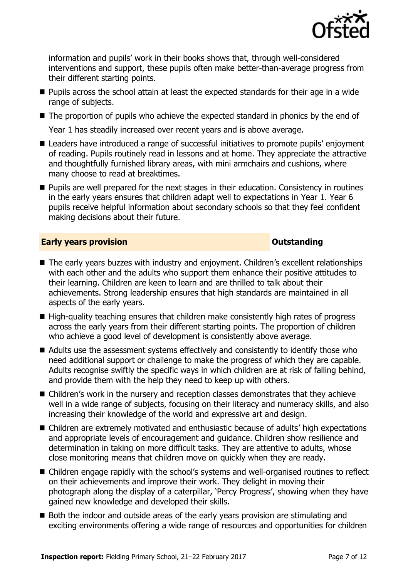

information and pupils' work in their books shows that, through well-considered interventions and support, these pupils often make better-than-average progress from their different starting points.

- **Pupils across the school attain at least the expected standards for their age in a wide** range of subjects.
- The proportion of pupils who achieve the expected standard in phonics by the end of

Year 1 has steadily increased over recent years and is above average.

- Leaders have introduced a range of successful initiatives to promote pupils' enjoyment of reading. Pupils routinely read in lessons and at home. They appreciate the attractive and thoughtfully furnished library areas, with mini armchairs and cushions, where many choose to read at breaktimes.
- **Pupils are well prepared for the next stages in their education. Consistency in routines** in the early years ensures that children adapt well to expectations in Year 1. Year 6 pupils receive helpful information about secondary schools so that they feel confident making decisions about their future.

#### **Early years provision CONSTANDING TO A RESEARCH CONSTANDING TO A RESEARCH CONSTANDING TO A RESEARCH CONSTANDING TO A RESEARCH CONSTANDING TO A RESEARCH CONSTANDING TO A RESEARCH CONSTANDING TO A RESEARCH CONSTANDING TO**

- The early years buzzes with industry and enjoyment. Children's excellent relationships with each other and the adults who support them enhance their positive attitudes to their learning. Children are keen to learn and are thrilled to talk about their achievements. Strong leadership ensures that high standards are maintained in all aspects of the early years.
- $\blacksquare$  High-quality teaching ensures that children make consistently high rates of progress across the early years from their different starting points. The proportion of children who achieve a good level of development is consistently above average.
- Adults use the assessment systems effectively and consistently to identify those who need additional support or challenge to make the progress of which they are capable. Adults recognise swiftly the specific ways in which children are at risk of falling behind, and provide them with the help they need to keep up with others.
- Children's work in the nursery and reception classes demonstrates that they achieve well in a wide range of subjects, focusing on their literacy and numeracy skills, and also increasing their knowledge of the world and expressive art and design.
- Children are extremely motivated and enthusiastic because of adults' high expectations and appropriate levels of encouragement and guidance. Children show resilience and determination in taking on more difficult tasks. They are attentive to adults, whose close monitoring means that children move on quickly when they are ready.
- Children engage rapidly with the school's systems and well-organised routines to reflect on their achievements and improve their work. They delight in moving their photograph along the display of a caterpillar, 'Percy Progress', showing when they have gained new knowledge and developed their skills.
- Both the indoor and outside areas of the early years provision are stimulating and exciting environments offering a wide range of resources and opportunities for children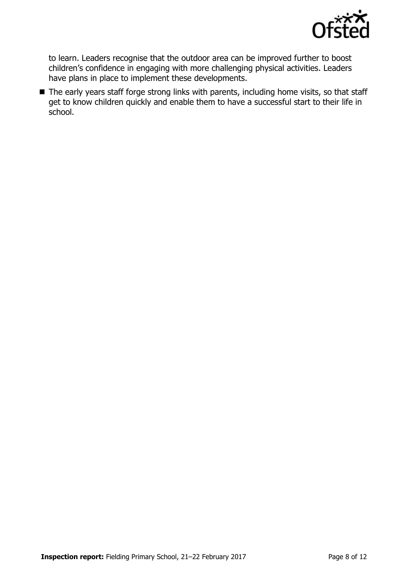

to learn. Leaders recognise that the outdoor area can be improved further to boost children's confidence in engaging with more challenging physical activities. Leaders have plans in place to implement these developments.

■ The early years staff forge strong links with parents, including home visits, so that staff get to know children quickly and enable them to have a successful start to their life in school.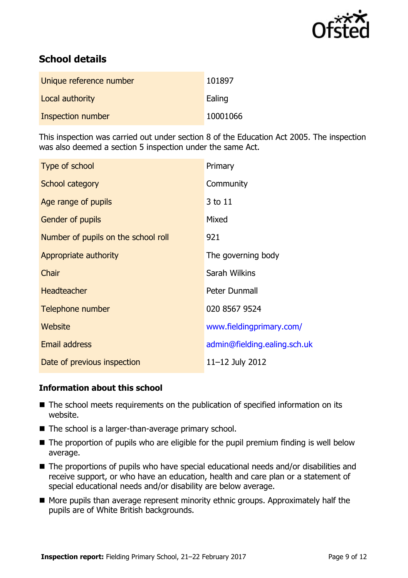

# **School details**

| Unique reference number | 101897   |
|-------------------------|----------|
| Local authority         | Ealing   |
| Inspection number       | 10001066 |

This inspection was carried out under section 8 of the Education Act 2005. The inspection was also deemed a section 5 inspection under the same Act.

| Type of school                      | Primary                      |
|-------------------------------------|------------------------------|
| School category                     | Community                    |
| Age range of pupils                 | 3 to 11                      |
| <b>Gender of pupils</b>             | Mixed                        |
| Number of pupils on the school roll | 921                          |
| Appropriate authority               | The governing body           |
| Chair                               | Sarah Wilkins                |
| <b>Headteacher</b>                  | Peter Dunmall                |
| Telephone number                    | 020 8567 9524                |
| Website                             | www.fieldingprimary.com/     |
| <b>Email address</b>                | admin@fielding.ealing.sch.uk |
| Date of previous inspection         | 11-12 July 2012              |

### **Information about this school**

- The school meets requirements on the publication of specified information on its website.
- The school is a larger-than-average primary school.
- The proportion of pupils who are eligible for the pupil premium finding is well below average.
- The proportions of pupils who have special educational needs and/or disabilities and receive support, or who have an education, health and care plan or a statement of special educational needs and/or disability are below average.
- $\blacksquare$  More pupils than average represent minority ethnic groups. Approximately half the pupils are of White British backgrounds.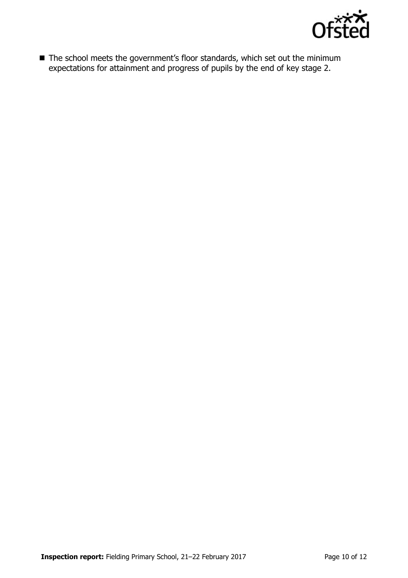

■ The school meets the government's floor standards, which set out the minimum expectations for attainment and progress of pupils by the end of key stage 2.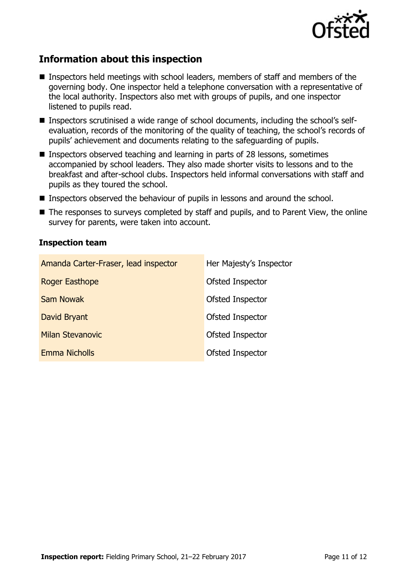

# **Information about this inspection**

- **Inspectors held meetings with school leaders, members of staff and members of the** governing body. One inspector held a telephone conversation with a representative of the local authority. Inspectors also met with groups of pupils, and one inspector listened to pupils read.
- Inspectors scrutinised a wide range of school documents, including the school's selfevaluation, records of the monitoring of the quality of teaching, the school's records of pupils' achievement and documents relating to the safeguarding of pupils.
- **Inspectors observed teaching and learning in parts of 28 lessons, sometimes** accompanied by school leaders. They also made shorter visits to lessons and to the breakfast and after-school clubs. Inspectors held informal conversations with staff and pupils as they toured the school.
- Inspectors observed the behaviour of pupils in lessons and around the school.
- The responses to surveys completed by staff and pupils, and to Parent View, the online survey for parents, were taken into account.

#### **Inspection team**

| Amanda Carter-Fraser, lead inspector | Her Majesty's Inspector |
|--------------------------------------|-------------------------|
| Roger Easthope                       | Ofsted Inspector        |
| <b>Sam Nowak</b>                     | Ofsted Inspector        |
| David Bryant                         | Ofsted Inspector        |
| <b>Milan Stevanovic</b>              | Ofsted Inspector        |
| <b>Emma Nicholls</b>                 | Ofsted Inspector        |